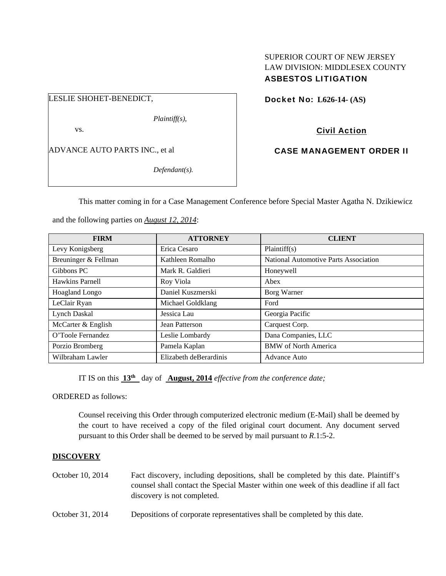# SUPERIOR COURT OF NEW JERSEY LAW DIVISION: MIDDLESEX COUNTY ASBESTOS LITIGATION

LESLIE SHOHET-BENEDICT,

*Plaintiff(s),* 

vs.

ADVANCE AUTO PARTS INC., et al

*Defendant(s).* 

Docket No: **L626-14- (AS)** 

Civil Action

CASE MANAGEMENT ORDER II

This matter coming in for a Case Management Conference before Special Master Agatha N. Dzikiewicz

and the following parties on *August 12, 2014*:

| <b>FIRM</b>          | <b>ATTORNEY</b>        | <b>CLIENT</b>                         |
|----------------------|------------------------|---------------------------------------|
| Levy Konigsberg      | Erica Cesaro           | Plaintiff(s)                          |
| Breuninger & Fellman | Kathleen Romalho       | National Automotive Parts Association |
| Gibbons PC           | Mark R. Galdieri       | Honeywell                             |
| Hawkins Parnell      | Roy Viola              | Abex                                  |
| Hoagland Longo       | Daniel Kuszmerski      | Borg Warner                           |
| LeClair Ryan         | Michael Goldklang      | Ford                                  |
| <b>Lynch Daskal</b>  | Jessica Lau            | Georgia Pacific                       |
| McCarter & English   | Jean Patterson         | Carquest Corp.                        |
| O'Toole Fernandez    | Leslie Lombardy        | Dana Companies, LLC                   |
| Porzio Bromberg      | Pamela Kaplan          | <b>BMW</b> of North America           |
| Wilbraham Lawler     | Elizabeth deBerardinis | Advance Auto                          |

IT IS on this **13th** day of **August, 2014** *effective from the conference date;*

ORDERED as follows:

Counsel receiving this Order through computerized electronic medium (E-Mail) shall be deemed by the court to have received a copy of the filed original court document. Any document served pursuant to this Order shall be deemed to be served by mail pursuant to *R*.1:5-2.

# **DISCOVERY**

- October 10, 2014 Fact discovery, including depositions, shall be completed by this date. Plaintiff's counsel shall contact the Special Master within one week of this deadline if all fact discovery is not completed.
- October 31, 2014 Depositions of corporate representatives shall be completed by this date.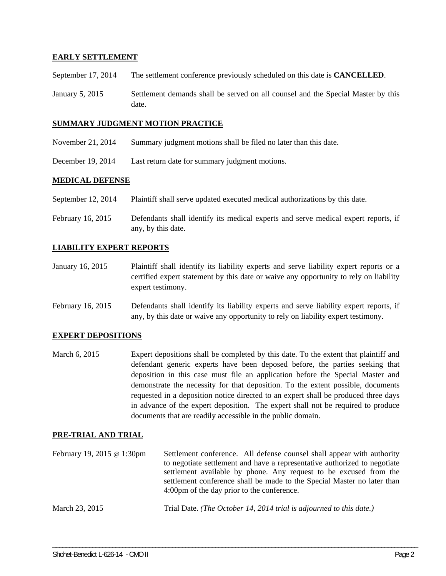## **EARLY SETTLEMENT**

- September 17, 2014 The settlement conference previously scheduled on this date is **CANCELLED**.
- January 5, 2015 Settlement demands shall be served on all counsel and the Special Master by this date.

#### **SUMMARY JUDGMENT MOTION PRACTICE**

- November 21, 2014 Summary judgment motions shall be filed no later than this date.
- December 19, 2014 Last return date for summary judgment motions.

## **MEDICAL DEFENSE**

- September 12, 2014 Plaintiff shall serve updated executed medical authorizations by this date.
- February 16, 2015 Defendants shall identify its medical experts and serve medical expert reports, if any, by this date.

## **LIABILITY EXPERT REPORTS**

- January 16, 2015 Plaintiff shall identify its liability experts and serve liability expert reports or a certified expert statement by this date or waive any opportunity to rely on liability expert testimony.
- February 16, 2015 Defendants shall identify its liability experts and serve liability expert reports, if any, by this date or waive any opportunity to rely on liability expert testimony.

#### **EXPERT DEPOSITIONS**

March 6, 2015 Expert depositions shall be completed by this date. To the extent that plaintiff and defendant generic experts have been deposed before, the parties seeking that deposition in this case must file an application before the Special Master and demonstrate the necessity for that deposition. To the extent possible, documents requested in a deposition notice directed to an expert shall be produced three days in advance of the expert deposition. The expert shall not be required to produce documents that are readily accessible in the public domain.

#### **PRE-TRIAL AND TRIAL**

| February 19, 2015 $\omega$ 1:30pm | Settlement conference. All defense counsel shall appear with authority<br>to negotiate settlement and have a representative authorized to negotiate<br>settlement available by phone. Any request to be excused from the<br>settlement conference shall be made to the Special Master no later than<br>4:00pm of the day prior to the conference. |
|-----------------------------------|---------------------------------------------------------------------------------------------------------------------------------------------------------------------------------------------------------------------------------------------------------------------------------------------------------------------------------------------------|
| March 23, 2015                    | Trial Date. (The October 14, 2014 trial is adjourned to this date.)                                                                                                                                                                                                                                                                               |

\_\_\_\_\_\_\_\_\_\_\_\_\_\_\_\_\_\_\_\_\_\_\_\_\_\_\_\_\_\_\_\_\_\_\_\_\_\_\_\_\_\_\_\_\_\_\_\_\_\_\_\_\_\_\_\_\_\_\_\_\_\_\_\_\_\_\_\_\_\_\_\_\_\_\_\_\_\_\_\_\_\_\_\_\_\_\_\_\_\_\_\_\_\_\_\_\_\_\_\_\_\_\_\_\_\_\_\_\_\_